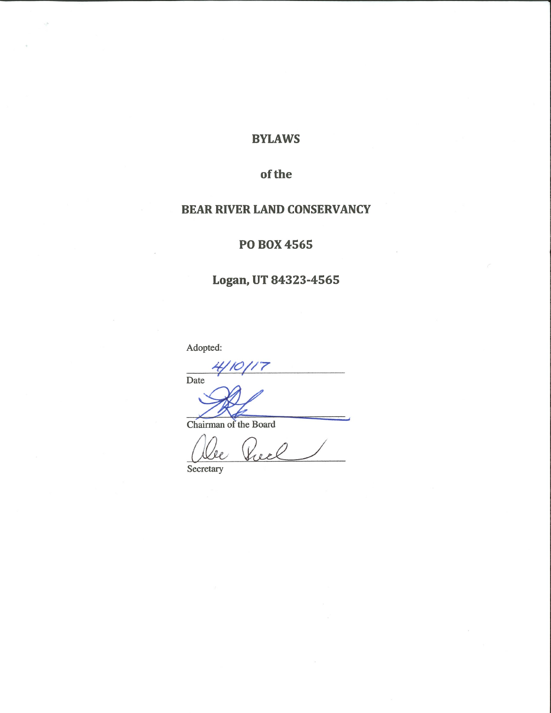## **BYLAWS**

## of the

## **BEAR RIVER LAND CONSERVANCY**

## PO BOX 4565

# Logan, UT 84323-4565

Adopted:

 $\sqrt{2}$  $\overline{Date}$ 

Chairman of the Board

Reel

Secretary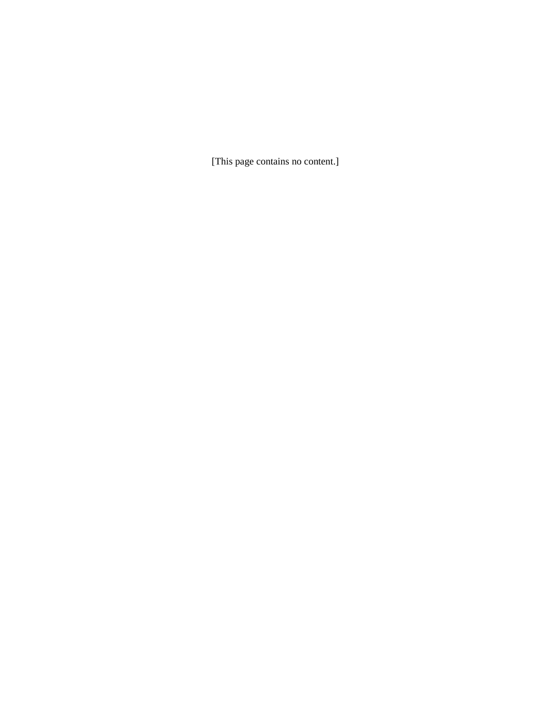[This page contains no content.]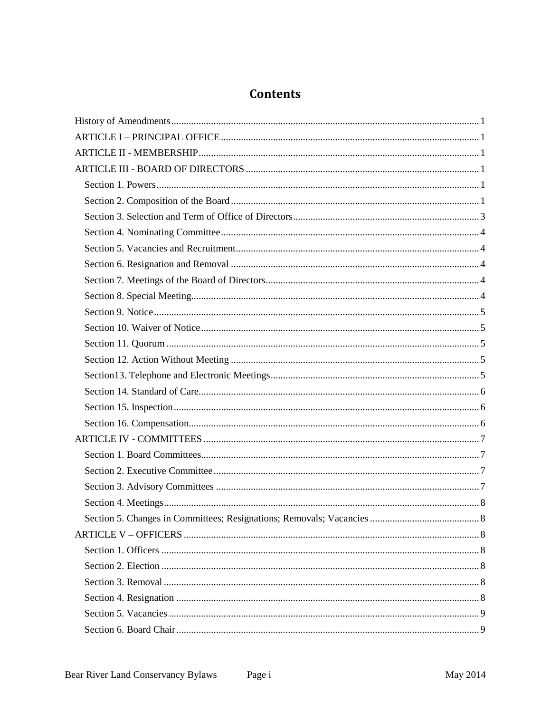## **Contents**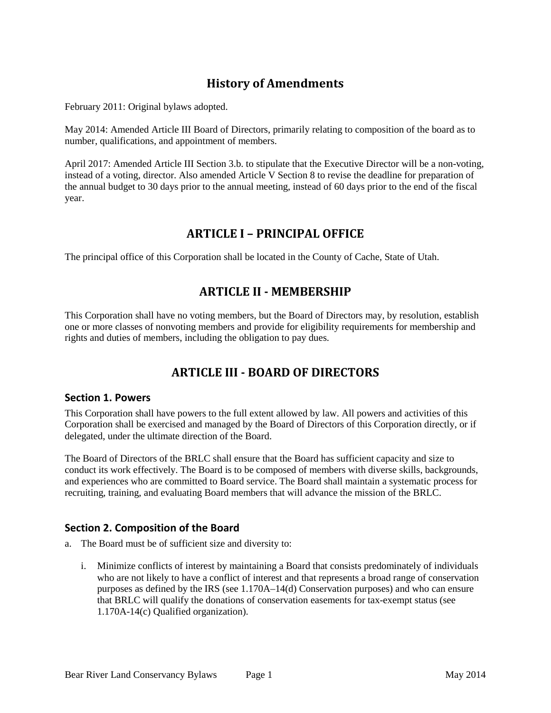## **History of Amendments**

<span id="page-4-0"></span>February 2011: Original bylaws adopted.

May 2014: Amended Article III Board of Directors, primarily relating to composition of the board as to number, qualifications, and appointment of members.

April 2017: Amended Article III Section 3.b. to stipulate that the Executive Director will be a non-voting, instead of a voting, director. Also amended Article V Section 8 to revise the deadline for preparation of the annual budget to 30 days prior to the annual meeting, instead of 60 days prior to the end of the fiscal year.

## **ARTICLE I – PRINCIPAL OFFICE**

<span id="page-4-2"></span><span id="page-4-1"></span>The principal office of this Corporation shall be located in the County of Cache, State of Utah.

## **ARTICLE II - MEMBERSHIP**

This Corporation shall have no voting members, but the Board of Directors may, by resolution, establish one or more classes of nonvoting members and provide for eligibility requirements for membership and rights and duties of members, including the obligation to pay dues.

## **ARTICLE III - BOARD OF DIRECTORS**

#### <span id="page-4-4"></span><span id="page-4-3"></span>**Section 1. Powers**

This Corporation shall have powers to the full extent allowed by law. All powers and activities of this Corporation shall be exercised and managed by the Board of Directors of this Corporation directly, or if delegated, under the ultimate direction of the Board.

The Board of Directors of the BRLC shall ensure that the Board has sufficient capacity and size to conduct its work effectively. The Board is to be composed of members with diverse skills, backgrounds, and experiences who are committed to Board service. The Board shall maintain a systematic process for recruiting, training, and evaluating Board members that will advance the mission of the BRLC.

#### <span id="page-4-5"></span>**Section 2. Composition of the Board**

- a. The Board must be of sufficient size and diversity to:
	- i. Minimize conflicts of interest by maintaining a Board that consists predominately of individuals who are not likely to have a conflict of interest and that represents a broad range of conservation purposes as defined by the IRS (see 1.170A–14(d) Conservation purposes) and who can ensure that BRLC will qualify the donations of conservation easements for tax-exempt status (see 1.170A-14(c) Qualified organization).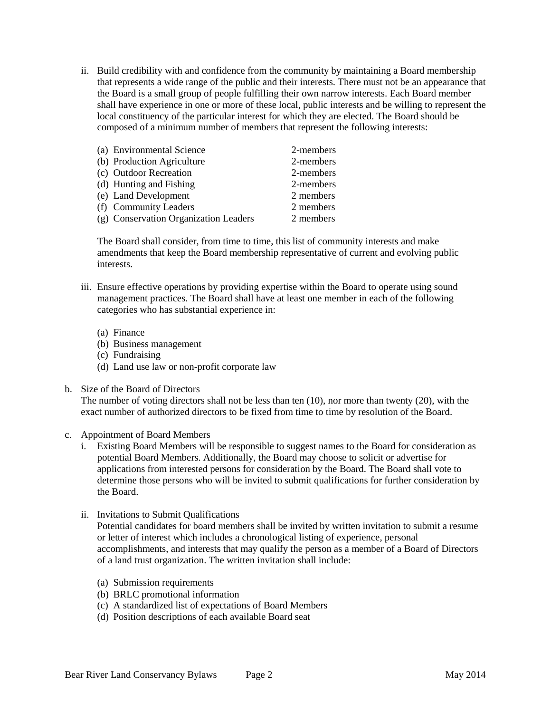ii. Build credibility with and confidence from the community by maintaining a Board membership that represents a wide range of the public and their interests. There must not be an appearance that the Board is a small group of people fulfilling their own narrow interests. Each Board member shall have experience in one or more of these local, public interests and be willing to represent the local constituency of the particular interest for which they are elected. The Board should be composed of a minimum number of members that represent the following interests:

| (a) Environmental Science             | 2-members |
|---------------------------------------|-----------|
| (b) Production Agriculture            | 2-members |
| (c) Outdoor Recreation                | 2-members |
| (d) Hunting and Fishing               | 2-members |
| (e) Land Development                  | 2 members |
| (f) Community Leaders                 | 2 members |
| (g) Conservation Organization Leaders | 2 members |

The Board shall consider, from time to time, this list of community interests and make amendments that keep the Board membership representative of current and evolving public interests.

- iii. Ensure effective operations by providing expertise within the Board to operate using sound management practices. The Board shall have at least one member in each of the following categories who has substantial experience in:
	- (a) Finance
	- (b) Business management
	- (c) Fundraising
	- (d) Land use law or non-profit corporate law
- b. Size of the Board of Directors

The number of voting directors shall not be less than ten (10), nor more than twenty (20), with the exact number of authorized directors to be fixed from time to time by resolution of the Board.

- c. Appointment of Board Members
	- i. Existing Board Members will be responsible to suggest names to the Board for consideration as potential Board Members. Additionally, the Board may choose to solicit or advertise for applications from interested persons for consideration by the Board. The Board shall vote to determine those persons who will be invited to submit qualifications for further consideration by the Board.
	- ii. Invitations to Submit Qualifications

Potential candidates for board members shall be invited by written invitation to submit a resume or letter of interest which includes a chronological listing of experience, personal accomplishments, and interests that may qualify the person as a member of a Board of Directors of a land trust organization. The written invitation shall include:

- (a) Submission requirements
- (b) BRLC promotional information
- (c) A standardized list of expectations of Board Members
- (d) Position descriptions of each available Board seat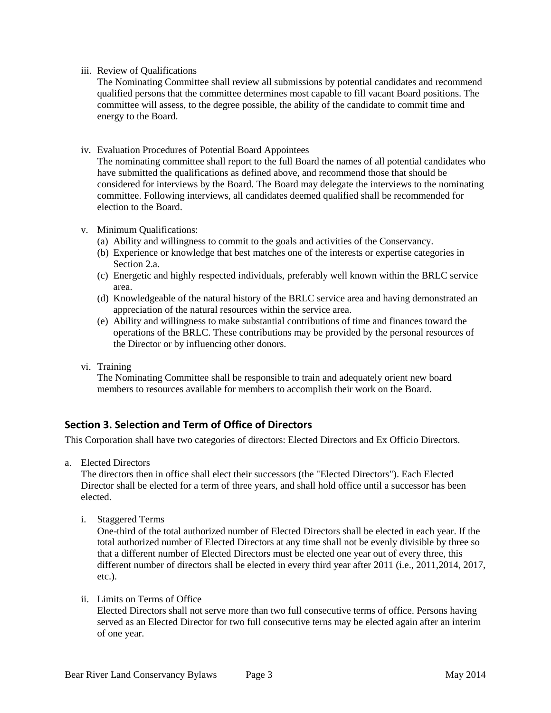#### iii. Review of Qualifications

The Nominating Committee shall review all submissions by potential candidates and recommend qualified persons that the committee determines most capable to fill vacant Board positions. The committee will assess, to the degree possible, the ability of the candidate to commit time and energy to the Board.

iv. Evaluation Procedures of Potential Board Appointees

The nominating committee shall report to the full Board the names of all potential candidates who have submitted the qualifications as defined above, and recommend those that should be considered for interviews by the Board. The Board may delegate the interviews to the nominating committee. Following interviews, all candidates deemed qualified shall be recommended for election to the Board.

- v. Minimum Qualifications:
	- (a) Ability and willingness to commit to the goals and activities of the Conservancy.
	- (b) Experience or knowledge that best matches one of the interests or expertise categories in Section 2.a.
	- (c) Energetic and highly respected individuals, preferably well known within the BRLC service area.
	- (d) Knowledgeable of the natural history of the BRLC service area and having demonstrated an appreciation of the natural resources within the service area.
	- (e) Ability and willingness to make substantial contributions of time and finances toward the operations of the BRLC. These contributions may be provided by the personal resources of the Director or by influencing other donors.
- vi. Training

The Nominating Committee shall be responsible to train and adequately orient new board members to resources available for members to accomplish their work on the Board.

#### <span id="page-6-0"></span>**Section 3. Selection and Term of Office of Directors**

This Corporation shall have two categories of directors: Elected Directors and Ex Officio Directors.

a. Elected Directors

The directors then in office shall elect their successors (the "Elected Directors"). Each Elected Director shall be elected for a term of three years, and shall hold office until a successor has been elected.

i. Staggered Terms

One-third of the total authorized number of Elected Directors shall be elected in each year. If the total authorized number of Elected Directors at any time shall not be evenly divisible by three so that a different number of Elected Directors must be elected one year out of every three, this different number of directors shall be elected in every third year after 2011 (i.e., 2011,2014, 2017, etc.).

ii. Limits on Terms of Office

Elected Directors shall not serve more than two full consecutive terms of office. Persons having served as an Elected Director for two full consecutive terns may be elected again after an interim of one year.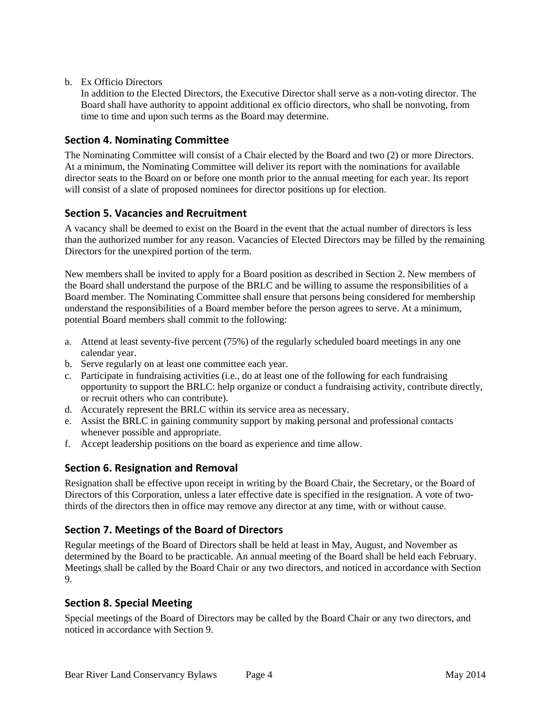b. Ex Officio Directors

In addition to the Elected Directors, the Executive Director shall serve as a non-voting director. The Board shall have authority to appoint additional ex officio directors, who shall be nonvoting, from time to time and upon such terms as the Board may determine.

### <span id="page-7-0"></span>**Section 4. Nominating Committee**

The Nominating Committee will consist of a Chair elected by the Board and two (2) or more Directors. At a minimum, the Nominating Committee will deliver its report with the nominations for available director seats to the Board on or before one month prior to the annual meeting for each year. Its report will consist of a slate of proposed nominees for director positions up for election.

### <span id="page-7-1"></span>**Section 5. Vacancies and Recruitment**

A vacancy shall be deemed to exist on the Board in the event that the actual number of directors is less than the authorized number for any reason. Vacancies of Elected Directors may be filled by the remaining Directors for the unexpired portion of the term.

New members shall be invited to apply for a Board position as described in Section 2. New members of the Board shall understand the purpose of the BRLC and be willing to assume the responsibilities of a Board member. The Nominating Committee shall ensure that persons being considered for membership understand the responsibilities of a Board member before the person agrees to serve. At a minimum, potential Board members shall commit to the following:

- a. Attend at least seventy-five percent (75%) of the regularly scheduled board meetings in any one calendar year.
- b. Serve regularly on at least one committee each year.
- c. Participate in fundraising activities (i.e., do at least one of the following for each fundraising opportunity to support the BRLC: help organize or conduct a fundraising activity, contribute directly, or recruit others who can contribute).
- d. Accurately represent the BRLC within its service area as necessary.
- e. Assist the BRLC in gaining community support by making personal and professional contacts whenever possible and appropriate.
- <span id="page-7-2"></span>f. Accept leadership positions on the board as experience and time allow.

## **Section 6. Resignation and Removal**

Resignation shall be effective upon receipt in writing by the Board Chair, the Secretary, or the Board of Directors of this Corporation, unless a later effective date is specified in the resignation. A vote of twothirds of the directors then in office may remove any director at any time, with or without cause.

## <span id="page-7-3"></span>**Section 7. Meetings of the Board of Directors**

Regular meetings of the Board of Directors shall be held at least in May, August, and November as determined by the Board to be practicable. An annual meeting of the Board shall be held each February. Meetings shall be called by the Board Chair or any two directors, and noticed in accordance with Section 9.

#### <span id="page-7-4"></span>**Section 8. Special Meeting**

Special meetings of the Board of Directors may be called by the Board Chair or any two directors, and noticed in accordance with Section 9.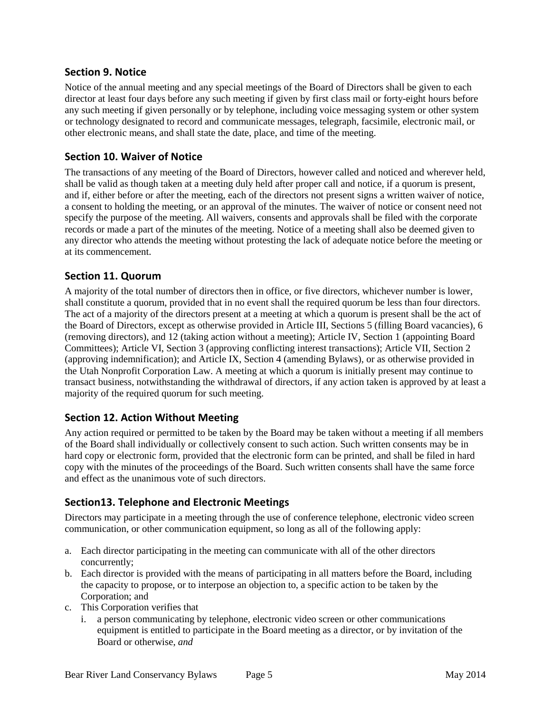### <span id="page-8-0"></span>**Section 9. Notice**

Notice of the annual meeting and any special meetings of the Board of Directors shall be given to each director at least four days before any such meeting if given by first class mail or forty-eight hours before any such meeting if given personally or by telephone, including voice messaging system or other system or technology designated to record and communicate messages, telegraph, facsimile, electronic mail, or other electronic means, and shall state the date, place, and time of the meeting.

### <span id="page-8-1"></span>**Section 10. Waiver of Notice**

The transactions of any meeting of the Board of Directors, however called and noticed and wherever held, shall be valid as though taken at a meeting duly held after proper call and notice, if a quorum is present, and if, either before or after the meeting, each of the directors not present signs a written waiver of notice, a consent to holding the meeting, or an approval of the minutes. The waiver of notice or consent need not specify the purpose of the meeting. All waivers, consents and approvals shall be filed with the corporate records or made a part of the minutes of the meeting. Notice of a meeting shall also be deemed given to any director who attends the meeting without protesting the lack of adequate notice before the meeting or at its commencement.

### <span id="page-8-2"></span>**Section 11. Quorum**

A majority of the total number of directors then in office, or five directors, whichever number is lower, shall constitute a quorum, provided that in no event shall the required quorum be less than four directors. The act of a majority of the directors present at a meeting at which a quorum is present shall be the act of the Board of Directors, except as otherwise provided in Article III, Sections 5 (filling Board vacancies), 6 (removing directors), and 12 (taking action without a meeting); Article IV, Section 1 (appointing Board Committees); Article VI, Section 3 (approving conflicting interest transactions); Article VII, Section 2 (approving indemnification); and Article IX, Section 4 (amending Bylaws), or as otherwise provided in the Utah Nonprofit Corporation Law. A meeting at which a quorum is initially present may continue to transact business, notwithstanding the withdrawal of directors, if any action taken is approved by at least a majority of the required quorum for such meeting.

#### <span id="page-8-3"></span>**Section 12. Action Without Meeting**

Any action required or permitted to be taken by the Board may be taken without a meeting if all members of the Board shall individually or collectively consent to such action. Such written consents may be in hard copy or electronic form, provided that the electronic form can be printed, and shall be filed in hard copy with the minutes of the proceedings of the Board. Such written consents shall have the same force and effect as the unanimous vote of such directors.

## <span id="page-8-4"></span>**Section13. Telephone and Electronic Meetings**

Directors may participate in a meeting through the use of conference telephone, electronic video screen communication, or other communication equipment, so long as all of the following apply:

- a. Each director participating in the meeting can communicate with all of the other directors concurrently;
- b. Each director is provided with the means of participating in all matters before the Board, including the capacity to propose, or to interpose an objection to, a specific action to be taken by the Corporation; and
- c. This Corporation verifies that
	- i. a person communicating by telephone, electronic video screen or other communications equipment is entitled to participate in the Board meeting as a director, or by invitation of the Board or otherwise, *and*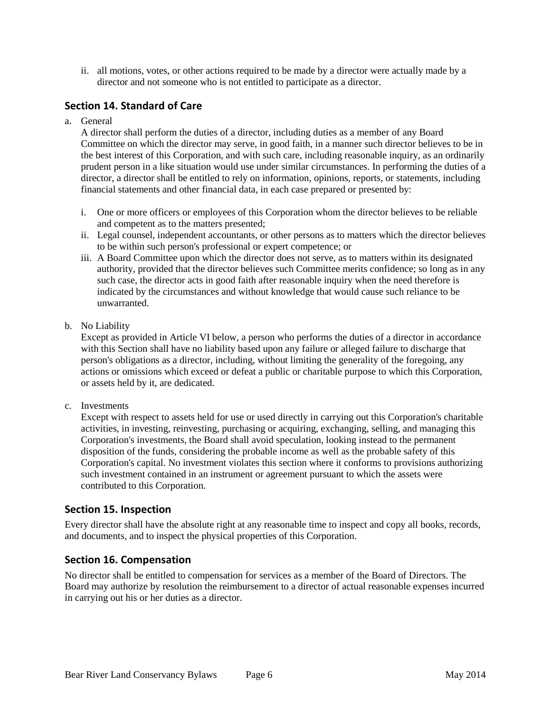ii. all motions, votes, or other actions required to be made by a director were actually made by a director and not someone who is not entitled to participate as a director.

### <span id="page-9-0"></span>**Section 14. Standard of Care**

a. General

A director shall perform the duties of a director, including duties as a member of any Board Committee on which the director may serve, in good faith, in a manner such director believes to be in the best interest of this Corporation, and with such care, including reasonable inquiry, as an ordinarily prudent person in a like situation would use under similar circumstances. In performing the duties of a director, a director shall be entitled to rely on information, opinions, reports, or statements, including financial statements and other financial data, in each case prepared or presented by:

- i. One or more officers or employees of this Corporation whom the director believes to be reliable and competent as to the matters presented;
- ii. Legal counsel, independent accountants, or other persons as to matters which the director believes to be within such person's professional or expert competence; or
- iii. A Board Committee upon which the director does not serve, as to matters within its designated authority, provided that the director believes such Committee merits confidence; so long as in any such case, the director acts in good faith after reasonable inquiry when the need therefore is indicated by the circumstances and without knowledge that would cause such reliance to be unwarranted.
- b. No Liability

Except as provided in Article VI below, a person who performs the duties of a director in accordance with this Section shall have no liability based upon any failure or alleged failure to discharge that person's obligations as a director, including, without limiting the generality of the foregoing, any actions or omissions which exceed or defeat a public or charitable purpose to which this Corporation, or assets held by it, are dedicated.

c. Investments

Except with respect to assets held for use or used directly in carrying out this Corporation's charitable activities, in investing, reinvesting, purchasing or acquiring, exchanging, selling, and managing this Corporation's investments, the Board shall avoid speculation, looking instead to the permanent disposition of the funds, considering the probable income as well as the probable safety of this Corporation's capital. No investment violates this section where it conforms to provisions authorizing such investment contained in an instrument or agreement pursuant to which the assets were contributed to this Corporation.

#### <span id="page-9-1"></span>**Section 15. Inspection**

Every director shall have the absolute right at any reasonable time to inspect and copy all books, records, and documents, and to inspect the physical properties of this Corporation.

#### <span id="page-9-2"></span>**Section 16. Compensation**

No director shall be entitled to compensation for services as a member of the Board of Directors. The Board may authorize by resolution the reimbursement to a director of actual reasonable expenses incurred in carrying out his or her duties as a director.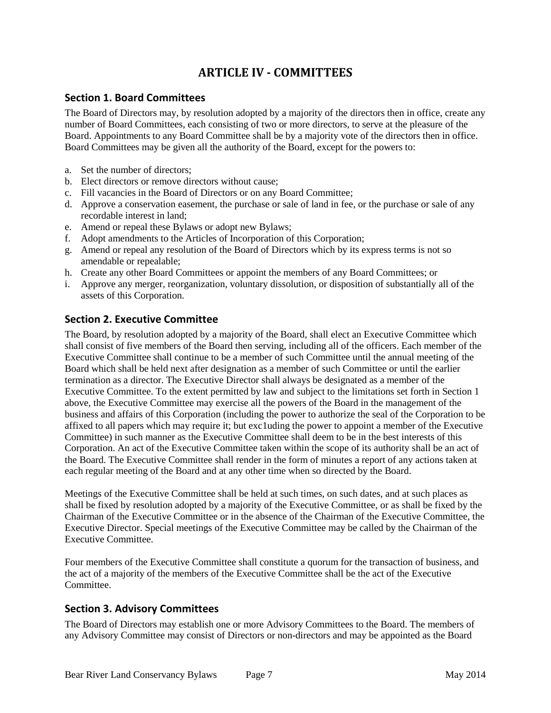## **ARTICLE IV - COMMITTEES**

#### <span id="page-10-1"></span><span id="page-10-0"></span>**Section 1. Board Committees**

The Board of Directors may, by resolution adopted by a majority of the directors then in office, create any number of Board Committees, each consisting of two or more directors, to serve at the pleasure of the Board. Appointments to any Board Committee shall be by a majority vote of the directors then in office. Board Committees may be given all the authority of the Board, except for the powers to:

- a. Set the number of directors;
- b. Elect directors or remove directors without cause;
- c. Fill vacancies in the Board of Directors or on any Board Committee;
- d. Approve a conservation easement, the purchase or sale of land in fee, or the purchase or sale of any recordable interest in land;
- e. Amend or repeal these Bylaws or adopt new Bylaws;
- f. Adopt amendments to the Articles of Incorporation of this Corporation;
- g. Amend or repeal any resolution of the Board of Directors which by its express terms is not so amendable or repealable;
- h. Create any other Board Committees or appoint the members of any Board Committees; or
- i. Approve any merger, reorganization, voluntary dissolution, or disposition of substantially all of the assets of this Corporation.

#### <span id="page-10-2"></span>**Section 2. Executive Committee**

The Board, by resolution adopted by a majority of the Board, shall elect an Executive Committee which shall consist of five members of the Board then serving, including all of the officers. Each member of the Executive Committee shall continue to be a member of such Committee until the annual meeting of the Board which shall be held next after designation as a member of such Committee or until the earlier termination as a director. The Executive Director shall always be designated as a member of the Executive Committee. To the extent permitted by law and subject to the limitations set forth in Section 1 above, the Executive Committee may exercise all the powers of the Board in the management of the business and affairs of this Corporation (including the power to authorize the seal of the Corporation to be affixed to all papers which may require it; but exc1uding the power to appoint a member of the Executive Committee) in such manner as the Executive Committee shall deem to be in the best interests of this Corporation. An act of the Executive Committee taken within the scope of its authority shall be an act of the Board. The Executive Committee shall render in the form of minutes a report of any actions taken at each regular meeting of the Board and at any other time when so directed by the Board.

Meetings of the Executive Committee shall be held at such times, on such dates, and at such places as shall be fixed by resolution adopted by a majority of the Executive Committee, or as shall be fixed by the Chairman of the Executive Committee or in the absence of the Chairman of the Executive Committee, the Executive Director. Special meetings of the Executive Committee may be called by the Chairman of the Executive Committee.

Four members of the Executive Committee shall constitute a quorum for the transaction of business, and the act of a majority of the members of the Executive Committee shall be the act of the Executive Committee.

#### <span id="page-10-3"></span>**Section 3. Advisory Committees**

The Board of Directors may establish one or more Advisory Committees to the Board. The members of any Advisory Committee may consist of Directors or non-directors and may be appointed as the Board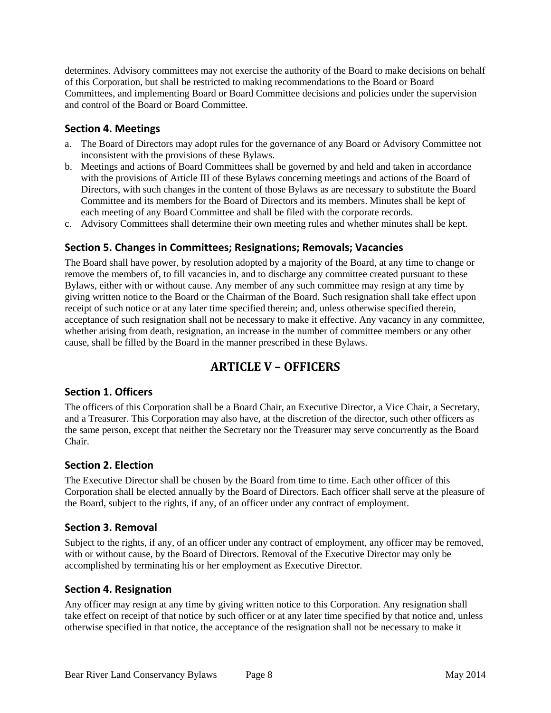determines. Advisory committees may not exercise the authority of the Board to make decisions on behalf of this Corporation, but shall be restricted to making recommendations to the Board or Board Committees, and implementing Board or Board Committee decisions and policies under the supervision and control of the Board or Board Committee.

### <span id="page-11-0"></span>**Section 4. Meetings**

- a. The Board of Directors may adopt rules for the governance of any Board or Advisory Committee not inconsistent with the provisions of these Bylaws.
- b. Meetings and actions of Board Committees shall be governed by and held and taken in accordance with the provisions of Article III of these Bylaws concerning meetings and actions of the Board of Directors, with such changes in the content of those Bylaws as are necessary to substitute the Board Committee and its members for the Board of Directors and its members. Minutes shall be kept of each meeting of any Board Committee and shall be filed with the corporate records.
- <span id="page-11-1"></span>c. Advisory Committees shall determine their own meeting rules and whether minutes shall be kept.

### **Section 5. Changes in Committees; Resignations; Removals; Vacancies**

The Board shall have power, by resolution adopted by a majority of the Board, at any time to change or remove the members of, to fill vacancies in, and to discharge any committee created pursuant to these Bylaws, either with or without cause. Any member of any such committee may resign at any time by giving written notice to the Board or the Chairman of the Board. Such resignation shall take effect upon receipt of such notice or at any later time specified therein; and, unless otherwise specified therein, acceptance of such resignation shall not be necessary to make it effective. Any vacancy in any committee, whether arising from death, resignation, an increase in the number of committee members or any other cause, shall be filled by the Board in the manner prescribed in these Bylaws.

## **ARTICLE V – OFFICERS**

## <span id="page-11-3"></span><span id="page-11-2"></span>**Section 1. Officers**

The officers of this Corporation shall be a Board Chair, an Executive Director, a Vice Chair, a Secretary, and a Treasurer. This Corporation may also have, at the discretion of the director, such other officers as the same person, except that neither the Secretary nor the Treasurer may serve concurrently as the Board Chair.

#### <span id="page-11-4"></span>**Section 2. Election**

The Executive Director shall be chosen by the Board from time to time. Each other officer of this Corporation shall be elected annually by the Board of Directors. Each officer shall serve at the pleasure of the Board, subject to the rights, if any, of an officer under any contract of employment.

#### <span id="page-11-5"></span>**Section 3. Removal**

Subject to the rights, if any, of an officer under any contract of employment, any officer may be removed, with or without cause, by the Board of Directors. Removal of the Executive Director may only be accomplished by terminating his or her employment as Executive Director.

#### <span id="page-11-6"></span>**Section 4. Resignation**

Any officer may resign at any time by giving written notice to this Corporation. Any resignation shall take effect on receipt of that notice by such officer or at any later time specified by that notice and, unless otherwise specified in that notice, the acceptance of the resignation shall not be necessary to make it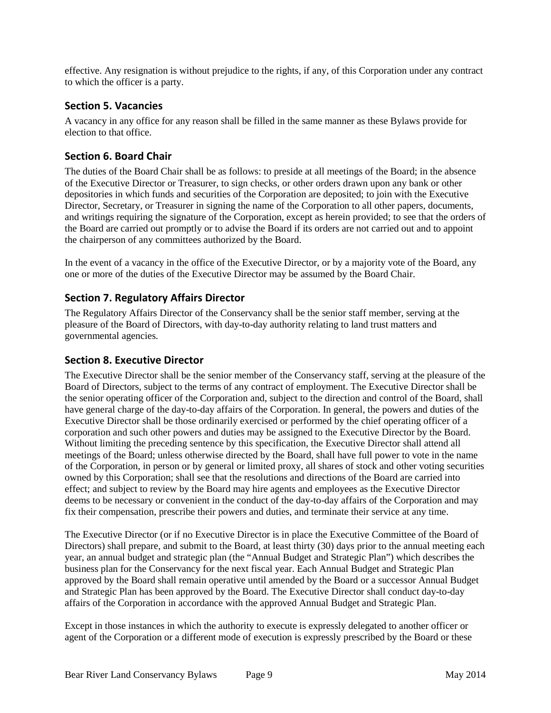effective. Any resignation is without prejudice to the rights, if any, of this Corporation under any contract to which the officer is a party.

#### <span id="page-12-0"></span>**Section 5. Vacancies**

A vacancy in any office for any reason shall be filled in the same manner as these Bylaws provide for election to that office.

### <span id="page-12-1"></span>**Section 6. Board Chair**

The duties of the Board Chair shall be as follows: to preside at all meetings of the Board; in the absence of the Executive Director or Treasurer, to sign checks, or other orders drawn upon any bank or other depositories in which funds and securities of the Corporation are deposited; to join with the Executive Director, Secretary, or Treasurer in signing the name of the Corporation to all other papers, documents, and writings requiring the signature of the Corporation, except as herein provided; to see that the orders of the Board are carried out promptly or to advise the Board if its orders are not carried out and to appoint the chairperson of any committees authorized by the Board.

In the event of a vacancy in the office of the Executive Director, or by a majority vote of the Board, any one or more of the duties of the Executive Director may be assumed by the Board Chair.

#### <span id="page-12-2"></span>**Section 7. Regulatory Affairs Director**

The Regulatory Affairs Director of the Conservancy shall be the senior staff member, serving at the pleasure of the Board of Directors, with day-to-day authority relating to land trust matters and governmental agencies.

#### <span id="page-12-3"></span>**Section 8. Executive Director**

The Executive Director shall be the senior member of the Conservancy staff, serving at the pleasure of the Board of Directors, subject to the terms of any contract of employment. The Executive Director shall be the senior operating officer of the Corporation and, subject to the direction and control of the Board, shall have general charge of the day-to-day affairs of the Corporation. In general, the powers and duties of the Executive Director shall be those ordinarily exercised or performed by the chief operating officer of a corporation and such other powers and duties may be assigned to the Executive Director by the Board. Without limiting the preceding sentence by this specification, the Executive Director shall attend all meetings of the Board; unless otherwise directed by the Board, shall have full power to vote in the name of the Corporation, in person or by general or limited proxy, all shares of stock and other voting securities owned by this Corporation; shall see that the resolutions and directions of the Board are carried into effect; and subject to review by the Board may hire agents and employees as the Executive Director deems to be necessary or convenient in the conduct of the day-to-day affairs of the Corporation and may fix their compensation, prescribe their powers and duties, and terminate their service at any time.

The Executive Director (or if no Executive Director is in place the Executive Committee of the Board of Directors) shall prepare, and submit to the Board, at least thirty (30) days prior to the annual meeting each year, an annual budget and strategic plan (the "Annual Budget and Strategic Plan") which describes the business plan for the Conservancy for the next fiscal year. Each Annual Budget and Strategic Plan approved by the Board shall remain operative until amended by the Board or a successor Annual Budget and Strategic Plan has been approved by the Board. The Executive Director shall conduct day-to-day affairs of the Corporation in accordance with the approved Annual Budget and Strategic Plan.

Except in those instances in which the authority to execute is expressly delegated to another officer or agent of the Corporation or a different mode of execution is expressly prescribed by the Board or these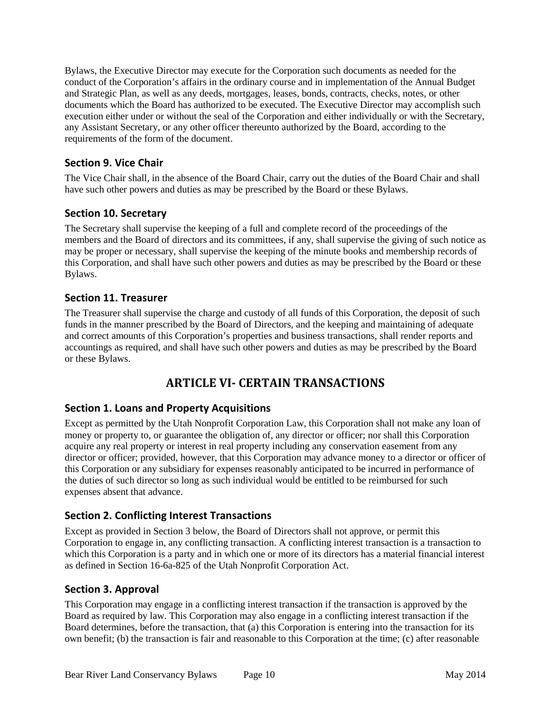Bylaws, the Executive Director may execute for the Corporation such documents as needed for the conduct of the Corporation's affairs in the ordinary course and in implementation of the Annual Budget and Strategic Plan, as well as any deeds, mortgages, leases, bonds, contracts, checks, notes, or other documents which the Board has authorized to be executed. The Executive Director may accomplish such execution either under or without the seal of the Corporation and either individually or with the Secretary, any Assistant Secretary, or any other officer thereunto authorized by the Board, according to the requirements of the form of the document.

### <span id="page-13-0"></span>**Section 9. Vice Chair**

The Vice Chair shall, in the absence of the Board Chair, carry out the duties of the Board Chair and shall have such other powers and duties as may be prescribed by the Board or these Bylaws.

### <span id="page-13-1"></span>**Section 10. Secretary**

The Secretary shall supervise the keeping of a full and complete record of the proceedings of the members and the Board of directors and its committees, if any, shall supervise the giving of such notice as may be proper or necessary, shall supervise the keeping of the minute books and membership records of this Corporation, and shall have such other powers and duties as may be prescribed by the Board or these Bylaws.

#### <span id="page-13-2"></span>**Section 11. Treasurer**

The Treasurer shall supervise the charge and custody of all funds of this Corporation, the deposit of such funds in the manner prescribed by the Board of Directors, and the keeping and maintaining of adequate and correct amounts of this Corporation's properties and business transactions, shall render reports and accountings as required, and shall have such other powers and duties as may be prescribed by the Board or these Bylaws.

## **ARTICLE VI- CERTAIN TRANSACTIONS**

#### <span id="page-13-4"></span><span id="page-13-3"></span>**Section 1. Loans and Property Acquisitions**

Except as permitted by the Utah Nonprofit Corporation Law, this Corporation shall not make any loan of money or property to, or guarantee the obligation of, any director or officer; nor shall this Corporation acquire any real property or interest in real property including any conservation easement from any director or officer; provided, however, that this Corporation may advance money to a director or officer of this Corporation or any subsidiary for expenses reasonably anticipated to be incurred in performance of the duties of such director so long as such individual would be entitled to be reimbursed for such expenses absent that advance.

#### <span id="page-13-5"></span>**Section 2. Conflicting Interest Transactions**

Except as provided in Section 3 below, the Board of Directors shall not approve, or permit this Corporation to engage in, any conflicting transaction. A conflicting interest transaction is a transaction to which this Corporation is a party and in which one or more of its directors has a material financial interest as defined in Section 16-6a-825 of the Utah Nonprofit Corporation Act.

#### <span id="page-13-6"></span>**Section 3. Approval**

This Corporation may engage in a conflicting interest transaction if the transaction is approved by the Board as required by law. This Corporation may also engage in a conflicting interest transaction if the Board determines, before the transaction, that (a) this Corporation is entering into the transaction for its own benefit; (b) the transaction is fair and reasonable to this Corporation at the time; (c) after reasonable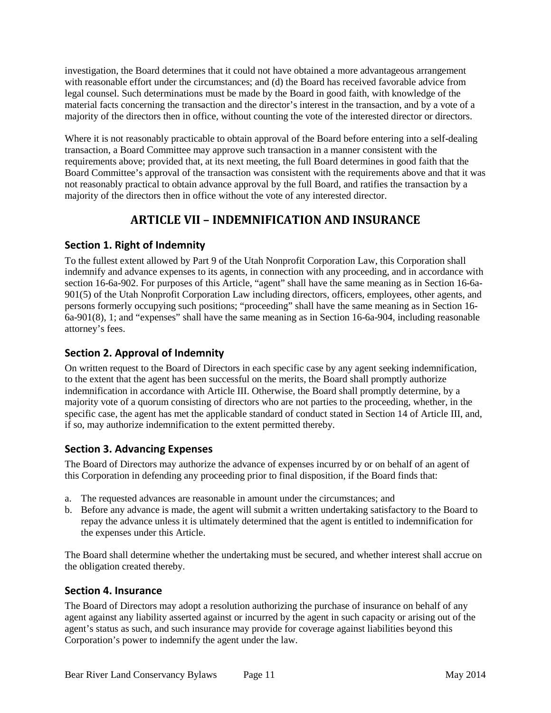investigation, the Board determines that it could not have obtained a more advantageous arrangement with reasonable effort under the circumstances; and (d) the Board has received favorable advice from legal counsel. Such determinations must be made by the Board in good faith, with knowledge of the material facts concerning the transaction and the director's interest in the transaction, and by a vote of a majority of the directors then in office, without counting the vote of the interested director or directors.

Where it is not reasonably practicable to obtain approval of the Board before entering into a self-dealing transaction, a Board Committee may approve such transaction in a manner consistent with the requirements above; provided that, at its next meeting, the full Board determines in good faith that the Board Committee's approval of the transaction was consistent with the requirements above and that it was not reasonably practical to obtain advance approval by the full Board, and ratifies the transaction by a majority of the directors then in office without the vote of any interested director.

## **ARTICLE VII – INDEMNIFICATION AND INSURANCE**

## <span id="page-14-1"></span><span id="page-14-0"></span>**Section 1. Right of Indemnity**

To the fullest extent allowed by Part 9 of the Utah Nonprofit Corporation Law, this Corporation shall indemnify and advance expenses to its agents, in connection with any proceeding, and in accordance with section 16-6a-902. For purposes of this Article, "agent" shall have the same meaning as in Section 16-6a-901(5) of the Utah Nonprofit Corporation Law including directors, officers, employees, other agents, and persons formerly occupying such positions; "proceeding" shall have the same meaning as in Section 16- 6a-901(8), 1; and "expenses" shall have the same meaning as in Section 16-6a-904, including reasonable attorney's fees.

## <span id="page-14-2"></span>**Section 2. Approval of Indemnity**

On written request to the Board of Directors in each specific case by any agent seeking indemnification, to the extent that the agent has been successful on the merits, the Board shall promptly authorize indemnification in accordance with Article III. Otherwise, the Board shall promptly determine, by a majority vote of a quorum consisting of directors who are not parties to the proceeding, whether, in the specific case, the agent has met the applicable standard of conduct stated in Section 14 of Article III, and, if so, may authorize indemnification to the extent permitted thereby.

## <span id="page-14-3"></span>**Section 3. Advancing Expenses**

The Board of Directors may authorize the advance of expenses incurred by or on behalf of an agent of this Corporation in defending any proceeding prior to final disposition, if the Board finds that:

- a. The requested advances are reasonable in amount under the circumstances; and
- b. Before any advance is made, the agent will submit a written undertaking satisfactory to the Board to repay the advance unless it is ultimately determined that the agent is entitled to indemnification for the expenses under this Article.

The Board shall determine whether the undertaking must be secured, and whether interest shall accrue on the obligation created thereby.

## <span id="page-14-4"></span>**Section 4. Insurance**

The Board of Directors may adopt a resolution authorizing the purchase of insurance on behalf of any agent against any liability asserted against or incurred by the agent in such capacity or arising out of the agent's status as such, and such insurance may provide for coverage against liabilities beyond this Corporation's power to indemnify the agent under the law.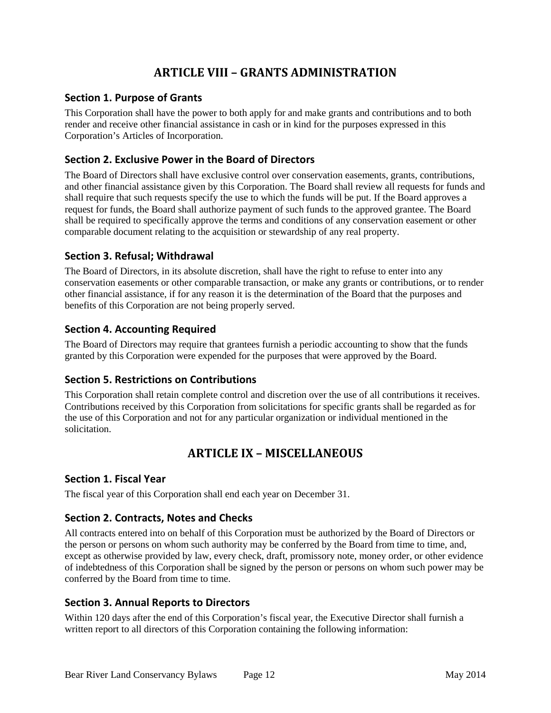## **ARTICLE VIII – GRANTS ADMINISTRATION**

### <span id="page-15-1"></span><span id="page-15-0"></span>**Section 1. Purpose of Grants**

This Corporation shall have the power to both apply for and make grants and contributions and to both render and receive other financial assistance in cash or in kind for the purposes expressed in this Corporation's Articles of Incorporation.

## <span id="page-15-2"></span>**Section 2. Exclusive Power in the Board of Directors**

The Board of Directors shall have exclusive control over conservation easements, grants, contributions, and other financial assistance given by this Corporation. The Board shall review all requests for funds and shall require that such requests specify the use to which the funds will be put. If the Board approves a request for funds, the Board shall authorize payment of such funds to the approved grantee. The Board shall be required to specifically approve the terms and conditions of any conservation easement or other comparable document relating to the acquisition or stewardship of any real property.

### <span id="page-15-3"></span>**Section 3. Refusal; Withdrawal**

The Board of Directors, in its absolute discretion, shall have the right to refuse to enter into any conservation easements or other comparable transaction, or make any grants or contributions, or to render other financial assistance, if for any reason it is the determination of the Board that the purposes and benefits of this Corporation are not being properly served.

### <span id="page-15-4"></span>**Section 4. Accounting Required**

The Board of Directors may require that grantees furnish a periodic accounting to show that the funds granted by this Corporation were expended for the purposes that were approved by the Board.

## <span id="page-15-5"></span>**Section 5. Restrictions on Contributions**

This Corporation shall retain complete control and discretion over the use of all contributions it receives. Contributions received by this Corporation from solicitations for specific grants shall be regarded as for the use of this Corporation and not for any particular organization or individual mentioned in the solicitation.

## **ARTICLE IX – MISCELLANEOUS**

#### <span id="page-15-7"></span><span id="page-15-6"></span>**Section 1. Fiscal Year**

<span id="page-15-8"></span>The fiscal year of this Corporation shall end each year on December 31.

#### **Section 2. Contracts, Notes and Checks**

All contracts entered into on behalf of this Corporation must be authorized by the Board of Directors or the person or persons on whom such authority may be conferred by the Board from time to time, and, except as otherwise provided by law, every check, draft, promissory note, money order, or other evidence of indebtedness of this Corporation shall be signed by the person or persons on whom such power may be conferred by the Board from time to time.

#### <span id="page-15-9"></span>**Section 3. Annual Reports to Directors**

Within 120 days after the end of this Corporation's fiscal year, the Executive Director shall furnish a written report to all directors of this Corporation containing the following information: